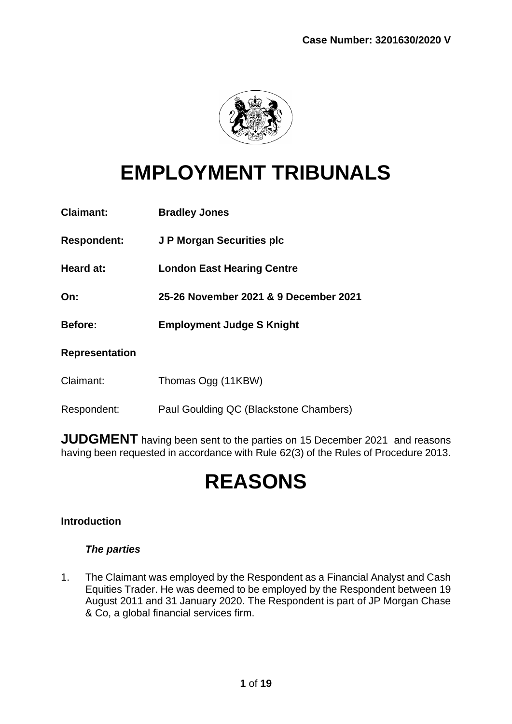

# **EMPLOYMENT TRIBUNALS**

| <b>Claimant:</b>      | <b>Bradley Jones</b>                  |
|-----------------------|---------------------------------------|
| <b>Respondent:</b>    | J P Morgan Securities plc             |
| Heard at:             | <b>London East Hearing Centre</b>     |
| On:                   | 25-26 November 2021 & 9 December 2021 |
| <b>Before:</b>        | <b>Employment Judge S Knight</b>      |
|                       |                                       |
| <b>Representation</b> |                                       |
| Claimant:             | Thomas Ogg (11KBW)                    |

**JUDGMENT** having been sent to the parties on 15 December 2021 and reasons having been requested in accordance with Rule 62(3) of the Rules of Procedure 2013.

# **REASONS**

# **Introduction**

# *The parties*

1. The Claimant was employed by the Respondent as a Financial Analyst and Cash Equities Trader. He was deemed to be employed by the Respondent between 19 August 2011 and 31 January 2020. The Respondent is part of JP Morgan Chase & Co, a global financial services firm.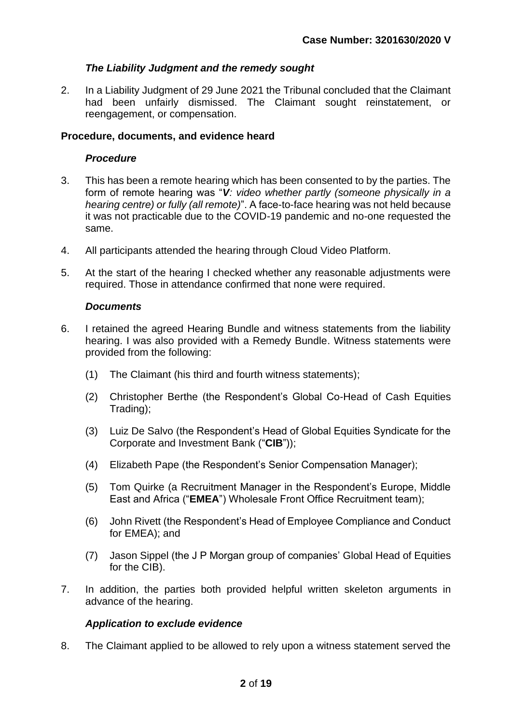# *The Liability Judgment and the remedy sought*

2. In a Liability Judgment of 29 June 2021 the Tribunal concluded that the Claimant had been unfairly dismissed. The Claimant sought reinstatement, or reengagement, or compensation.

# **Procedure, documents, and evidence heard**

## *Procedure*

- 3. This has been a remote hearing which has been consented to by the parties. The form of remote hearing was "*V: video whether partly (someone physically in a hearing centre) or fully (all remote)*". A face-to-face hearing was not held because it was not practicable due to the COVID-19 pandemic and no-one requested the same.
- 4. All participants attended the hearing through Cloud Video Platform.
- 5. At the start of the hearing I checked whether any reasonable adjustments were required. Those in attendance confirmed that none were required.

# *Documents*

- 6. I retained the agreed Hearing Bundle and witness statements from the liability hearing. I was also provided with a Remedy Bundle. Witness statements were provided from the following:
	- (1) The Claimant (his third and fourth witness statements);
	- (2) Christopher Berthe (the Respondent's Global Co-Head of Cash Equities Trading);
	- (3) Luiz De Salvo (the Respondent's Head of Global Equities Syndicate for the Corporate and Investment Bank ("**CIB**"));
	- (4) Elizabeth Pape (the Respondent's Senior Compensation Manager);
	- (5) Tom Quirke (a Recruitment Manager in the Respondent's Europe, Middle East and Africa ("**EMEA**") Wholesale Front Office Recruitment team);
	- (6) John Rivett (the Respondent's Head of Employee Compliance and Conduct for EMEA); and
	- (7) Jason Sippel (the J P Morgan group of companies' Global Head of Equities for the CIB).
- 7. In addition, the parties both provided helpful written skeleton arguments in advance of the hearing.

# *Application to exclude evidence*

8. The Claimant applied to be allowed to rely upon a witness statement served the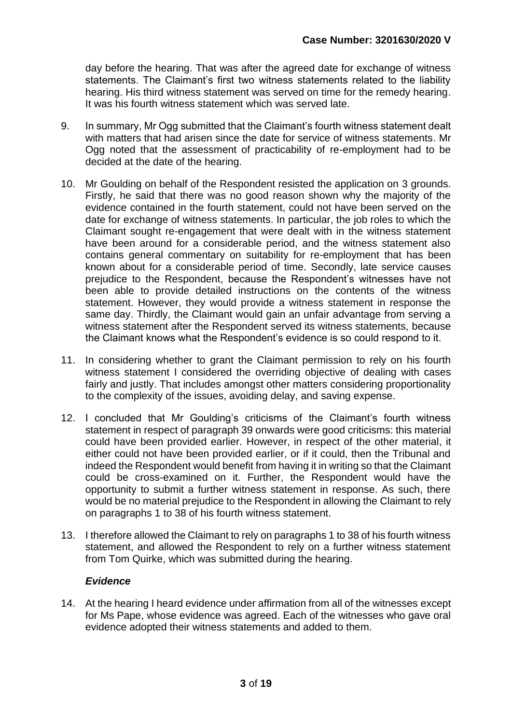day before the hearing. That was after the agreed date for exchange of witness statements. The Claimant's first two witness statements related to the liability hearing. His third witness statement was served on time for the remedy hearing. It was his fourth witness statement which was served late.

- 9. In summary, Mr Ogg submitted that the Claimant's fourth witness statement dealt with matters that had arisen since the date for service of witness statements. Mr Ogg noted that the assessment of practicability of re-employment had to be decided at the date of the hearing.
- 10. Mr Goulding on behalf of the Respondent resisted the application on 3 grounds. Firstly, he said that there was no good reason shown why the majority of the evidence contained in the fourth statement, could not have been served on the date for exchange of witness statements. In particular, the job roles to which the Claimant sought re-engagement that were dealt with in the witness statement have been around for a considerable period, and the witness statement also contains general commentary on suitability for re-employment that has been known about for a considerable period of time. Secondly, late service causes prejudice to the Respondent, because the Respondent's witnesses have not been able to provide detailed instructions on the contents of the witness statement. However, they would provide a witness statement in response the same day. Thirdly, the Claimant would gain an unfair advantage from serving a witness statement after the Respondent served its witness statements, because the Claimant knows what the Respondent's evidence is so could respond to it.
- 11. In considering whether to grant the Claimant permission to rely on his fourth witness statement I considered the overriding objective of dealing with cases fairly and justly. That includes amongst other matters considering proportionality to the complexity of the issues, avoiding delay, and saving expense.
- 12. I concluded that Mr Goulding's criticisms of the Claimant's fourth witness statement in respect of paragraph 39 onwards were good criticisms: this material could have been provided earlier. However, in respect of the other material, it either could not have been provided earlier, or if it could, then the Tribunal and indeed the Respondent would benefit from having it in writing so that the Claimant could be cross-examined on it. Further, the Respondent would have the opportunity to submit a further witness statement in response. As such, there would be no material prejudice to the Respondent in allowing the Claimant to rely on paragraphs 1 to 38 of his fourth witness statement.
- 13. I therefore allowed the Claimant to rely on paragraphs 1 to 38 of his fourth witness statement, and allowed the Respondent to rely on a further witness statement from Tom Quirke, which was submitted during the hearing.

## *Evidence*

14. At the hearing I heard evidence under affirmation from all of the witnesses except for Ms Pape, whose evidence was agreed. Each of the witnesses who gave oral evidence adopted their witness statements and added to them.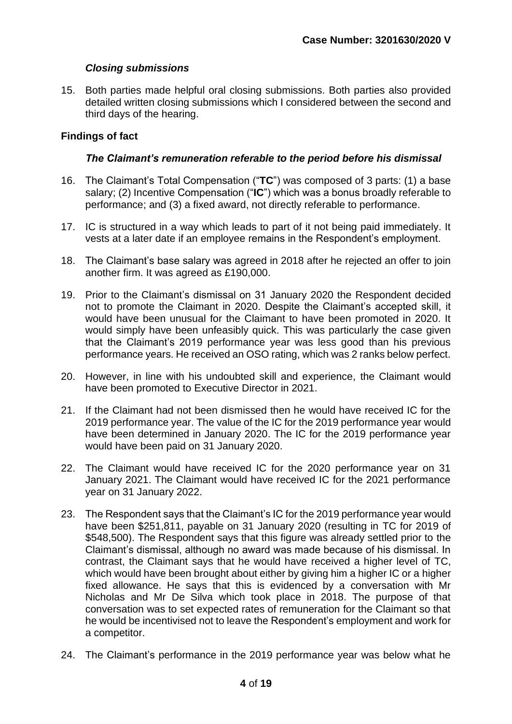# *Closing submissions*

15. Both parties made helpful oral closing submissions. Both parties also provided detailed written closing submissions which I considered between the second and third days of the hearing.

# **Findings of fact**

# *The Claimant's remuneration referable to the period before his dismissal*

- 16. The Claimant's Total Compensation ("**TC**") was composed of 3 parts: (1) a base salary; (2) Incentive Compensation ("**IC**") which was a bonus broadly referable to performance; and (3) a fixed award, not directly referable to performance.
- 17. IC is structured in a way which leads to part of it not being paid immediately. It vests at a later date if an employee remains in the Respondent's employment.
- 18. The Claimant's base salary was agreed in 2018 after he rejected an offer to join another firm. It was agreed as £190,000.
- 19. Prior to the Claimant's dismissal on 31 January 2020 the Respondent decided not to promote the Claimant in 2020. Despite the Claimant's accepted skill, it would have been unusual for the Claimant to have been promoted in 2020. It would simply have been unfeasibly quick. This was particularly the case given that the Claimant's 2019 performance year was less good than his previous performance years. He received an OSO rating, which was 2 ranks below perfect.
- 20. However, in line with his undoubted skill and experience, the Claimant would have been promoted to Executive Director in 2021.
- 21. If the Claimant had not been dismissed then he would have received IC for the 2019 performance year. The value of the IC for the 2019 performance year would have been determined in January 2020. The IC for the 2019 performance year would have been paid on 31 January 2020.
- 22. The Claimant would have received IC for the 2020 performance year on 31 January 2021. The Claimant would have received IC for the 2021 performance year on 31 January 2022.
- 23. The Respondent says that the Claimant's IC for the 2019 performance year would have been \$251,811, payable on 31 January 2020 (resulting in TC for 2019 of \$548,500). The Respondent says that this figure was already settled prior to the Claimant's dismissal, although no award was made because of his dismissal. In contrast, the Claimant says that he would have received a higher level of TC, which would have been brought about either by giving him a higher IC or a higher fixed allowance. He says that this is evidenced by a conversation with Mr Nicholas and Mr De Silva which took place in 2018. The purpose of that conversation was to set expected rates of remuneration for the Claimant so that he would be incentivised not to leave the Respondent's employment and work for a competitor.
- 24. The Claimant's performance in the 2019 performance year was below what he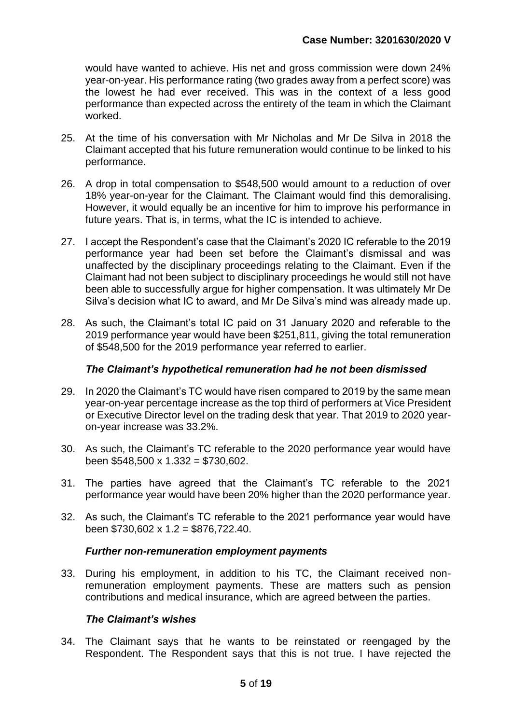would have wanted to achieve. His net and gross commission were down 24% year-on-year. His performance rating (two grades away from a perfect score) was the lowest he had ever received. This was in the context of a less good performance than expected across the entirety of the team in which the Claimant worked.

- 25. At the time of his conversation with Mr Nicholas and Mr De Silva in 2018 the Claimant accepted that his future remuneration would continue to be linked to his performance.
- 26. A drop in total compensation to \$548,500 would amount to a reduction of over 18% year-on-year for the Claimant. The Claimant would find this demoralising. However, it would equally be an incentive for him to improve his performance in future years. That is, in terms, what the IC is intended to achieve.
- 27. I accept the Respondent's case that the Claimant's 2020 IC referable to the 2019 performance year had been set before the Claimant's dismissal and was unaffected by the disciplinary proceedings relating to the Claimant. Even if the Claimant had not been subject to disciplinary proceedings he would still not have been able to successfully argue for higher compensation. It was ultimately Mr De Silva's decision what IC to award, and Mr De Silva's mind was already made up.
- 28. As such, the Claimant's total IC paid on 31 January 2020 and referable to the 2019 performance year would have been \$251,811, giving the total remuneration of \$548,500 for the 2019 performance year referred to earlier.

## *The Claimant's hypothetical remuneration had he not been dismissed*

- 29. In 2020 the Claimant's TC would have risen compared to 2019 by the same mean year-on-year percentage increase as the top third of performers at Vice President or Executive Director level on the trading desk that year. That 2019 to 2020 yearon-year increase was 33.2%.
- 30. As such, the Claimant's TC referable to the 2020 performance year would have been  $$548,500 \times 1.332 = $730,602$ .
- 31. The parties have agreed that the Claimant's TC referable to the 2021 performance year would have been 20% higher than the 2020 performance year.
- 32. As such, the Claimant's TC referable to the 2021 performance year would have been \$730,602 x 1.2 = \$876,722.40.

## *Further non-remuneration employment payments*

33. During his employment, in addition to his TC, the Claimant received nonremuneration employment payments. These are matters such as pension contributions and medical insurance, which are agreed between the parties.

## *The Claimant's wishes*

34. The Claimant says that he wants to be reinstated or reengaged by the Respondent. The Respondent says that this is not true. I have rejected the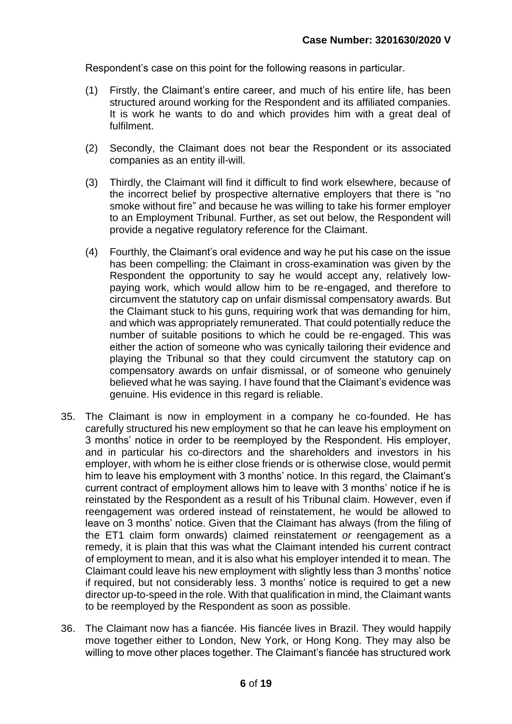Respondent's case on this point for the following reasons in particular.

- (1) Firstly, the Claimant's entire career, and much of his entire life, has been structured around working for the Respondent and its affiliated companies. It is work he wants to do and which provides him with a great deal of fulfilment.
- (2) Secondly, the Claimant does not bear the Respondent or its associated companies as an entity ill-will.
- (3) Thirdly, the Claimant will find it difficult to find work elsewhere, because of the incorrect belief by prospective alternative employers that there is "no smoke without fire" and because he was willing to take his former employer to an Employment Tribunal. Further, as set out below, the Respondent will provide a negative regulatory reference for the Claimant.
- (4) Fourthly, the Claimant's oral evidence and way he put his case on the issue has been compelling: the Claimant in cross-examination was given by the Respondent the opportunity to say he would accept any, relatively lowpaying work, which would allow him to be re-engaged, and therefore to circumvent the statutory cap on unfair dismissal compensatory awards. But the Claimant stuck to his guns, requiring work that was demanding for him, and which was appropriately remunerated. That could potentially reduce the number of suitable positions to which he could be re-engaged. This was either the action of someone who was cynically tailoring their evidence and playing the Tribunal so that they could circumvent the statutory cap on compensatory awards on unfair dismissal, or of someone who genuinely believed what he was saying. I have found that the Claimant's evidence was genuine. His evidence in this regard is reliable.
- 35. The Claimant is now in employment in a company he co-founded. He has carefully structured his new employment so that he can leave his employment on 3 months' notice in order to be reemployed by the Respondent. His employer, and in particular his co-directors and the shareholders and investors in his employer, with whom he is either close friends or is otherwise close, would permit him to leave his employment with 3 months' notice. In this regard, the Claimant's current contract of employment allows him to leave with 3 months' notice if he is reinstated by the Respondent as a result of his Tribunal claim. However, even if reengagement was ordered instead of reinstatement, he would be allowed to leave on 3 months' notice. Given that the Claimant has always (from the filing of the ET1 claim form onwards) claimed reinstatement *or* reengagement as a remedy, it is plain that this was what the Claimant intended his current contract of employment to mean, and it is also what his employer intended it to mean. The Claimant could leave his new employment with slightly less than 3 months' notice if required, but not considerably less. 3 months' notice is required to get a new director up-to-speed in the role. With that qualification in mind, the Claimant wants to be reemployed by the Respondent as soon as possible.
- 36. The Claimant now has a fiancée. His fiancée lives in Brazil. They would happily move together either to London, New York, or Hong Kong. They may also be willing to move other places together. The Claimant's fiancée has structured work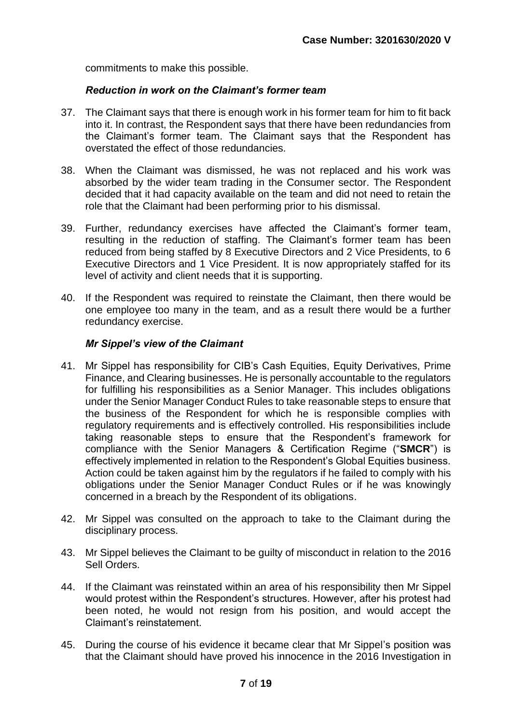commitments to make this possible.

## *Reduction in work on the Claimant's former team*

- 37. The Claimant says that there is enough work in his former team for him to fit back into it. In contrast, the Respondent says that there have been redundancies from the Claimant's former team. The Claimant says that the Respondent has overstated the effect of those redundancies.
- 38. When the Claimant was dismissed, he was not replaced and his work was absorbed by the wider team trading in the Consumer sector. The Respondent decided that it had capacity available on the team and did not need to retain the role that the Claimant had been performing prior to his dismissal.
- 39. Further, redundancy exercises have affected the Claimant's former team, resulting in the reduction of staffing. The Claimant's former team has been reduced from being staffed by 8 Executive Directors and 2 Vice Presidents, to 6 Executive Directors and 1 Vice President. It is now appropriately staffed for its level of activity and client needs that it is supporting.
- 40. If the Respondent was required to reinstate the Claimant, then there would be one employee too many in the team, and as a result there would be a further redundancy exercise.

## *Mr Sippel's view of the Claimant*

- 41. Mr Sippel has responsibility for CIB's Cash Equities, Equity Derivatives, Prime Finance, and Clearing businesses. He is personally accountable to the regulators for fulfilling his responsibilities as a Senior Manager. This includes obligations under the Senior Manager Conduct Rules to take reasonable steps to ensure that the business of the Respondent for which he is responsible complies with regulatory requirements and is effectively controlled. His responsibilities include taking reasonable steps to ensure that the Respondent's framework for compliance with the Senior Managers & Certification Regime ("**SMCR**") is effectively implemented in relation to the Respondent's Global Equities business. Action could be taken against him by the regulators if he failed to comply with his obligations under the Senior Manager Conduct Rules or if he was knowingly concerned in a breach by the Respondent of its obligations.
- 42. Mr Sippel was consulted on the approach to take to the Claimant during the disciplinary process.
- 43. Mr Sippel believes the Claimant to be guilty of misconduct in relation to the 2016 Sell Orders.
- 44. If the Claimant was reinstated within an area of his responsibility then Mr Sippel would protest within the Respondent's structures. However, after his protest had been noted, he would not resign from his position, and would accept the Claimant's reinstatement.
- 45. During the course of his evidence it became clear that Mr Sippel's position was that the Claimant should have proved his innocence in the 2016 Investigation in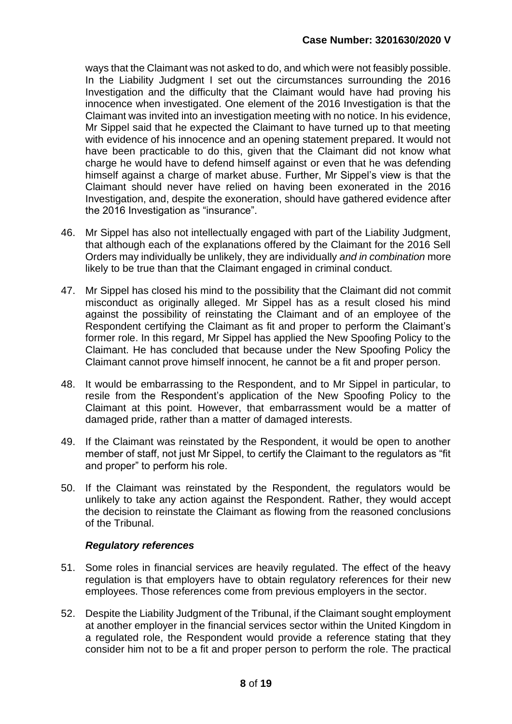ways that the Claimant was not asked to do, and which were not feasibly possible. In the Liability Judgment I set out the circumstances surrounding the 2016 Investigation and the difficulty that the Claimant would have had proving his innocence when investigated. One element of the 2016 Investigation is that the Claimant was invited into an investigation meeting with no notice. In his evidence, Mr Sippel said that he expected the Claimant to have turned up to that meeting with evidence of his innocence and an opening statement prepared. It would not have been practicable to do this, given that the Claimant did not know what charge he would have to defend himself against or even that he was defending himself against a charge of market abuse. Further, Mr Sippel's view is that the Claimant should never have relied on having been exonerated in the 2016 Investigation, and, despite the exoneration, should have gathered evidence after the 2016 Investigation as "insurance".

- 46. Mr Sippel has also not intellectually engaged with part of the Liability Judgment, that although each of the explanations offered by the Claimant for the 2016 Sell Orders may individually be unlikely, they are individually *and in combination* more likely to be true than that the Claimant engaged in criminal conduct.
- 47. Mr Sippel has closed his mind to the possibility that the Claimant did not commit misconduct as originally alleged. Mr Sippel has as a result closed his mind against the possibility of reinstating the Claimant and of an employee of the Respondent certifying the Claimant as fit and proper to perform the Claimant's former role. In this regard, Mr Sippel has applied the New Spoofing Policy to the Claimant. He has concluded that because under the New Spoofing Policy the Claimant cannot prove himself innocent, he cannot be a fit and proper person.
- 48. It would be embarrassing to the Respondent, and to Mr Sippel in particular, to resile from the Respondent's application of the New Spoofing Policy to the Claimant at this point. However, that embarrassment would be a matter of damaged pride, rather than a matter of damaged interests.
- 49. If the Claimant was reinstated by the Respondent, it would be open to another member of staff, not just Mr Sippel, to certify the Claimant to the regulators as "fit and proper" to perform his role.
- 50. If the Claimant was reinstated by the Respondent, the regulators would be unlikely to take any action against the Respondent. Rather, they would accept the decision to reinstate the Claimant as flowing from the reasoned conclusions of the Tribunal.

## *Regulatory references*

- 51. Some roles in financial services are heavily regulated. The effect of the heavy regulation is that employers have to obtain regulatory references for their new employees. Those references come from previous employers in the sector.
- 52. Despite the Liability Judgment of the Tribunal, if the Claimant sought employment at another employer in the financial services sector within the United Kingdom in a regulated role, the Respondent would provide a reference stating that they consider him not to be a fit and proper person to perform the role. The practical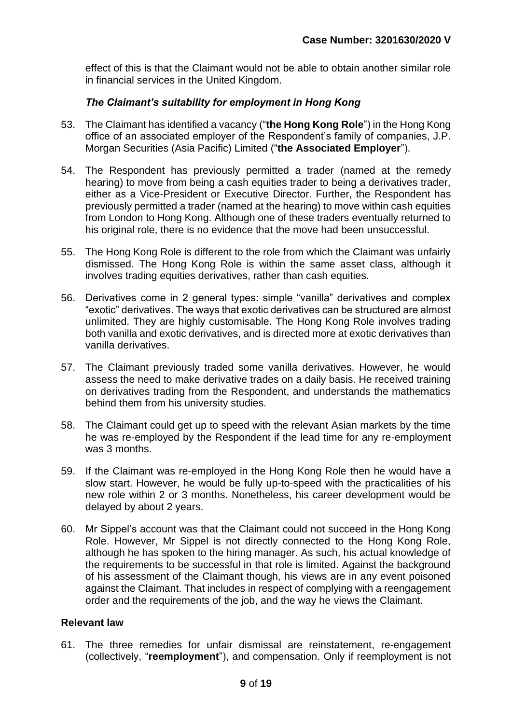effect of this is that the Claimant would not be able to obtain another similar role in financial services in the United Kingdom.

# *The Claimant's suitability for employment in Hong Kong*

- 53. The Claimant has identified a vacancy ("**the Hong Kong Role**") in the Hong Kong office of an associated employer of the Respondent's family of companies, J.P. Morgan Securities (Asia Pacific) Limited ("**the Associated Employer**").
- 54. The Respondent has previously permitted a trader (named at the remedy hearing) to move from being a cash equities trader to being a derivatives trader, either as a Vice-President or Executive Director. Further, the Respondent has previously permitted a trader (named at the hearing) to move within cash equities from London to Hong Kong. Although one of these traders eventually returned to his original role, there is no evidence that the move had been unsuccessful.
- 55. The Hong Kong Role is different to the role from which the Claimant was unfairly dismissed. The Hong Kong Role is within the same asset class, although it involves trading equities derivatives, rather than cash equities.
- 56. Derivatives come in 2 general types: simple "vanilla" derivatives and complex "exotic" derivatives. The ways that exotic derivatives can be structured are almost unlimited. They are highly customisable. The Hong Kong Role involves trading both vanilla and exotic derivatives, and is directed more at exotic derivatives than vanilla derivatives.
- 57. The Claimant previously traded some vanilla derivatives. However, he would assess the need to make derivative trades on a daily basis. He received training on derivatives trading from the Respondent, and understands the mathematics behind them from his university studies.
- 58. The Claimant could get up to speed with the relevant Asian markets by the time he was re-employed by the Respondent if the lead time for any re-employment was 3 months.
- 59. If the Claimant was re-employed in the Hong Kong Role then he would have a slow start. However, he would be fully up-to-speed with the practicalities of his new role within 2 or 3 months. Nonetheless, his career development would be delayed by about 2 years.
- 60. Mr Sippel's account was that the Claimant could not succeed in the Hong Kong Role. However, Mr Sippel is not directly connected to the Hong Kong Role, although he has spoken to the hiring manager. As such, his actual knowledge of the requirements to be successful in that role is limited. Against the background of his assessment of the Claimant though, his views are in any event poisoned against the Claimant. That includes in respect of complying with a reengagement order and the requirements of the job, and the way he views the Claimant.

#### **Relevant law**

61. The three remedies for unfair dismissal are reinstatement, re-engagement (collectively, "**reemployment**"), and compensation. Only if reemployment is not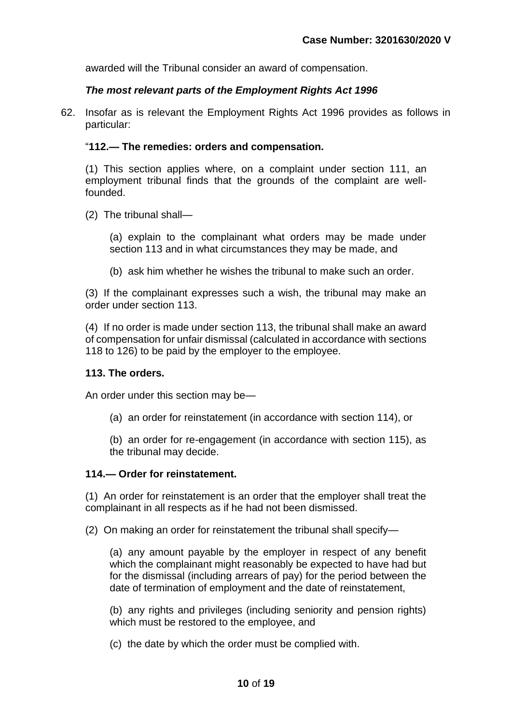awarded will the Tribunal consider an award of compensation.

## *The most relevant parts of the Employment Rights Act 1996*

62. Insofar as is relevant the Employment Rights Act 1996 provides as follows in particular:

#### "**112.— The remedies: orders and compensation.**

(1) This section applies where, on a complaint under section 111, an employment tribunal finds that the grounds of the complaint are wellfounded.

(2) The tribunal shall—

(a) explain to the complainant what orders may be made under section 113 and in what circumstances they may be made, and

(b) ask him whether he wishes the tribunal to make such an order.

(3) If the complainant expresses such a wish, the tribunal may make an order under section 113.

(4) If no order is made under section 113, the tribunal shall make an award of compensation for unfair dismissal (calculated in accordance with sections 118 to 126) to be paid by the employer to the employee.

#### **113. The orders.**

An order under this section may be—

(a) an order for reinstatement (in accordance with section 114), or

(b) an order for re-engagement (in accordance with section 115), as the tribunal may decide.

## **114.— Order for reinstatement.**

(1) An order for reinstatement is an order that the employer shall treat the complainant in all respects as if he had not been dismissed.

(2) On making an order for reinstatement the tribunal shall specify—

(a) any amount payable by the employer in respect of any benefit which the complainant might reasonably be expected to have had but for the dismissal (including arrears of pay) for the period between the date of termination of employment and the date of reinstatement,

(b) any rights and privileges (including seniority and pension rights) which must be restored to the employee, and

(c) the date by which the order must be complied with.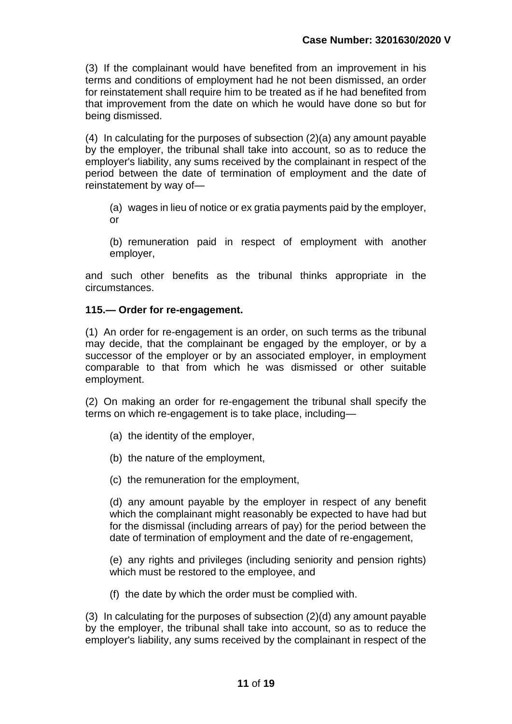(3) If the complainant would have benefited from an improvement in his terms and conditions of employment had he not been dismissed, an order for reinstatement shall require him to be treated as if he had benefited from that improvement from the date on which he would have done so but for being dismissed.

(4) In calculating for the purposes of subsection (2)(a) any amount payable by the employer, the tribunal shall take into account, so as to reduce the employer's liability, any sums received by the complainant in respect of the period between the date of termination of employment and the date of reinstatement by way of—

(a) wages in lieu of notice or ex gratia payments paid by the employer, or

(b) remuneration paid in respect of employment with another employer,

and such other benefits as the tribunal thinks appropriate in the circumstances.

## **115.— Order for re-engagement.**

(1) An order for re-engagement is an order, on such terms as the tribunal may decide, that the complainant be engaged by the employer, or by a successor of the employer or by an associated employer, in employment comparable to that from which he was dismissed or other suitable employment.

(2) On making an order for re-engagement the tribunal shall specify the terms on which re-engagement is to take place, including—

- (a) the identity of the employer,
- (b) the nature of the employment,
- (c) the remuneration for the employment,

(d) any amount payable by the employer in respect of any benefit which the complainant might reasonably be expected to have had but for the dismissal (including arrears of pay) for the period between the date of termination of employment and the date of re-engagement,

(e) any rights and privileges (including seniority and pension rights) which must be restored to the employee, and

(f) the date by which the order must be complied with.

(3) In calculating for the purposes of subsection (2)(d) any amount payable by the employer, the tribunal shall take into account, so as to reduce the employer's liability, any sums received by the complainant in respect of the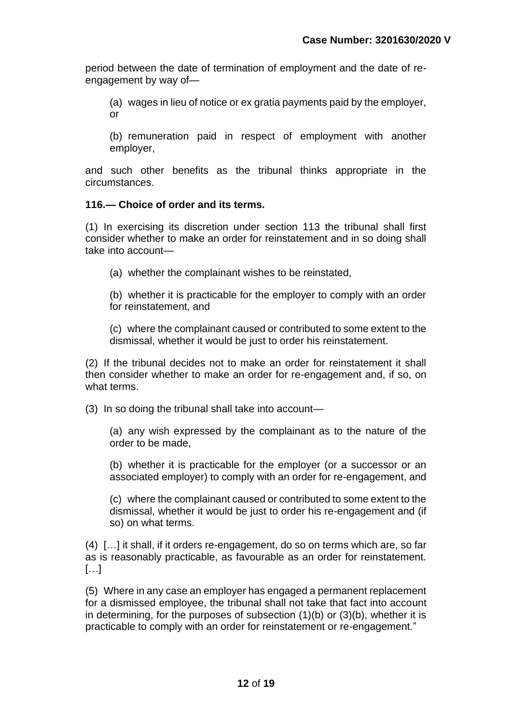period between the date of termination of employment and the date of reengagement by way of—

(a) wages in lieu of notice or ex gratia payments paid by the employer, or

(b) remuneration paid in respect of employment with another employer,

and such other benefits as the tribunal thinks appropriate in the circumstances.

# **116.— Choice of order and its terms.**

(1) In exercising its discretion under section 113 the tribunal shall first consider whether to make an order for reinstatement and in so doing shall take into account—

(a) whether the complainant wishes to be reinstated,

(b) whether it is practicable for the employer to comply with an order for reinstatement, and

(c) where the complainant caused or contributed to some extent to the dismissal, whether it would be just to order his reinstatement.

(2) If the tribunal decides not to make an order for reinstatement it shall then consider whether to make an order for re-engagement and, if so, on what terms.

(3) In so doing the tribunal shall take into account—

(a) any wish expressed by the complainant as to the nature of the order to be made,

(b) whether it is practicable for the employer (or a successor or an associated employer) to comply with an order for re-engagement, and

(c) where the complainant caused or contributed to some extent to the dismissal, whether it would be just to order his re-engagement and (if so) on what terms.

(4) […] it shall, if it orders re-engagement, do so on terms which are, so far as is reasonably practicable, as favourable as an order for reinstatement. […]

(5) Where in any case an employer has engaged a permanent replacement for a dismissed employee, the tribunal shall not take that fact into account in determining, for the purposes of subsection (1)(b) or (3)(b), whether it is practicable to comply with an order for reinstatement or re-engagement."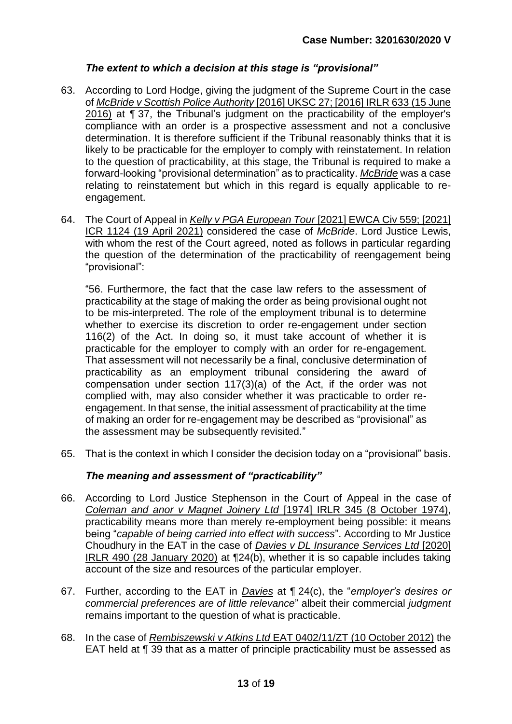# *The extent to which a decision at this stage is "provisional"*

- 63. According to Lord Hodge, giving the judgment of the Supreme Court in the case of *McBride v Scottish Police Authority* [2016] UKSC 27; [2016] IRLR 633 (15 June 2016) at ¶ 37, the Tribunal's judgment on the practicability of the employer's compliance with an order is a prospective assessment and not a conclusive determination. It is therefore sufficient if the Tribunal reasonably thinks that it is likely to be practicable for the employer to comply with reinstatement. In relation to the question of practicability, at this stage, the Tribunal is required to make a forward-looking "provisional determination" as to practicality. *McBride* was a case relating to reinstatement but which in this regard is equally applicable to reengagement.
- 64. The Court of Appeal in *Kelly v PGA European Tour* [2021] EWCA Civ 559; [2021] ICR 1124 (19 April 2021) considered the case of *McBride*. Lord Justice Lewis, with whom the rest of the Court agreed, noted as follows in particular regarding the question of the determination of the practicability of reengagement being "provisional":

"56. Furthermore, the fact that the case law refers to the assessment of practicability at the stage of making the order as being provisional ought not to be mis-interpreted. The role of the employment tribunal is to determine whether to exercise its discretion to order re-engagement under section 116(2) of the Act. In doing so, it must take account of whether it is practicable for the employer to comply with an order for re-engagement. That assessment will not necessarily be a final, conclusive determination of practicability as an employment tribunal considering the award of compensation under section 117(3)(a) of the Act, if the order was not complied with, may also consider whether it was practicable to order reengagement. In that sense, the initial assessment of practicability at the time of making an order for re-engagement may be described as "provisional" as the assessment may be subsequently revisited."

65. That is the context in which I consider the decision today on a "provisional" basis.

# *The meaning and assessment of "practicability"*

- 66. According to Lord Justice Stephenson in the Court of Appeal in the case of *Coleman and anor v Magnet Joinery Ltd* [1974] IRLR 345 (8 October 1974), practicability means more than merely re-employment being possible: it means being "*capable of being carried into effect with success*". According to Mr Justice Choudhury in the EAT in the case of *Davies v DL Insurance Services Ltd* [2020] IRLR 490 (28 January 2020) at ¶24(b), whether it is so capable includes taking account of the size and resources of the particular employer.
- 67. Further, according to the EAT in *Davies* at ¶ 24(c), the "*employer's desires or commercial preferences are of little relevance*" albeit their commercial *judgment* remains important to the question of what is practicable.
- 68. In the case of *Rembiszewski v Atkins Ltd* EAT 0402/11/ZT (10 October 2012) the EAT held at ¶ 39 that as a matter of principle practicability must be assessed as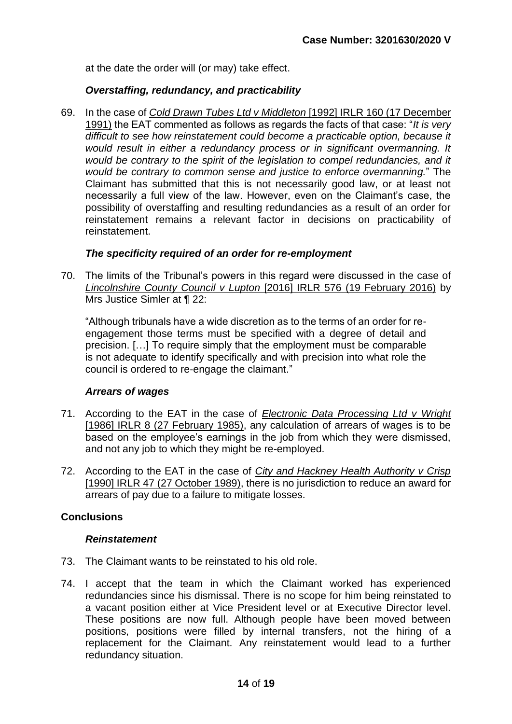at the date the order will (or may) take effect.

#### *Overstaffing, redundancy, and practicability*

69. In the case of *Cold Drawn Tubes Ltd v Middleton* [1992] IRLR 160 (17 December 1991) the EAT commented as follows as regards the facts of that case: "*It is very difficult to see how reinstatement could become a practicable option, because it would result in either a redundancy process or in significant overmanning. It would be contrary to the spirit of the legislation to compel redundancies, and it would be contrary to common sense and justice to enforce overmanning.*" The Claimant has submitted that this is not necessarily good law, or at least not necessarily a full view of the law. However, even on the Claimant's case, the possibility of overstaffing and resulting redundancies as a result of an order for reinstatement remains a relevant factor in decisions on practicability of reinstatement.

#### *The specificity required of an order for re-employment*

70. The limits of the Tribunal's powers in this regard were discussed in the case of *Lincolnshire County Council v Lupton* [2016] IRLR 576 (19 February 2016) by Mrs Justice Simler at ¶ 22:

"Although tribunals have a wide discretion as to the terms of an order for reengagement those terms must be specified with a degree of detail and precision. […] To require simply that the employment must be comparable is not adequate to identify specifically and with precision into what role the council is ordered to re-engage the claimant."

#### *Arrears of wages*

- 71. According to the EAT in the case of *Electronic Data Processing Ltd v Wright* [1986] IRLR 8 (27 February 1985), any calculation of arrears of wages is to be based on the employee's earnings in the job from which they were dismissed, and not any job to which they might be re-employed.
- 72. According to the EAT in the case of *City and Hackney Health Authority v Crisp* [1990] IRLR 47 (27 October 1989), there is no jurisdiction to reduce an award for arrears of pay due to a failure to mitigate losses.

## **Conclusions**

#### *Reinstatement*

- 73. The Claimant wants to be reinstated to his old role.
- 74. I accept that the team in which the Claimant worked has experienced redundancies since his dismissal. There is no scope for him being reinstated to a vacant position either at Vice President level or at Executive Director level. These positions are now full. Although people have been moved between positions, positions were filled by internal transfers, not the hiring of a replacement for the Claimant. Any reinstatement would lead to a further redundancy situation.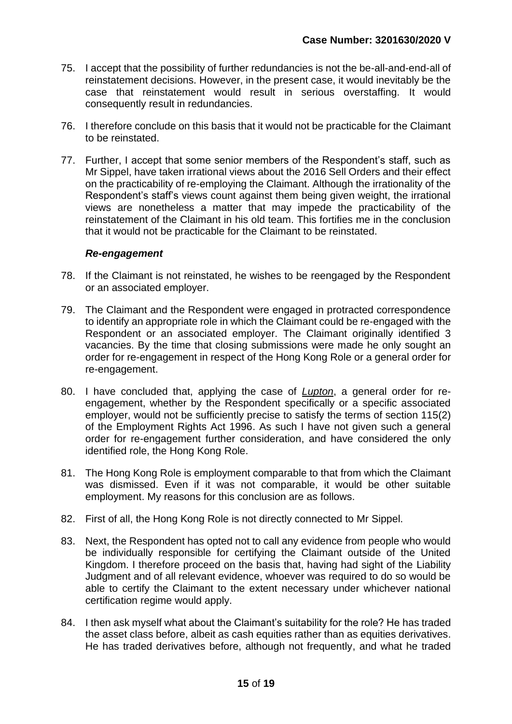- 75. I accept that the possibility of further redundancies is not the be-all-and-end-all of reinstatement decisions. However, in the present case, it would inevitably be the case that reinstatement would result in serious overstaffing. It would consequently result in redundancies.
- 76. I therefore conclude on this basis that it would not be practicable for the Claimant to be reinstated.
- 77. Further, I accept that some senior members of the Respondent's staff, such as Mr Sippel, have taken irrational views about the 2016 Sell Orders and their effect on the practicability of re-employing the Claimant. Although the irrationality of the Respondent's staff's views count against them being given weight, the irrational views are nonetheless a matter that may impede the practicability of the reinstatement of the Claimant in his old team. This fortifies me in the conclusion that it would not be practicable for the Claimant to be reinstated.

## *Re-engagement*

- 78. If the Claimant is not reinstated, he wishes to be reengaged by the Respondent or an associated employer.
- 79. The Claimant and the Respondent were engaged in protracted correspondence to identify an appropriate role in which the Claimant could be re-engaged with the Respondent or an associated employer. The Claimant originally identified 3 vacancies. By the time that closing submissions were made he only sought an order for re-engagement in respect of the Hong Kong Role or a general order for re-engagement.
- 80. I have concluded that, applying the case of *Lupton*, a general order for reengagement, whether by the Respondent specifically or a specific associated employer, would not be sufficiently precise to satisfy the terms of section 115(2) of the Employment Rights Act 1996. As such I have not given such a general order for re-engagement further consideration, and have considered the only identified role, the Hong Kong Role.
- 81. The Hong Kong Role is employment comparable to that from which the Claimant was dismissed. Even if it was not comparable, it would be other suitable employment. My reasons for this conclusion are as follows.
- 82. First of all, the Hong Kong Role is not directly connected to Mr Sippel.
- 83. Next, the Respondent has opted not to call any evidence from people who would be individually responsible for certifying the Claimant outside of the United Kingdom. I therefore proceed on the basis that, having had sight of the Liability Judgment and of all relevant evidence, whoever was required to do so would be able to certify the Claimant to the extent necessary under whichever national certification regime would apply.
- 84. I then ask myself what about the Claimant's suitability for the role? He has traded the asset class before, albeit as cash equities rather than as equities derivatives. He has traded derivatives before, although not frequently, and what he traded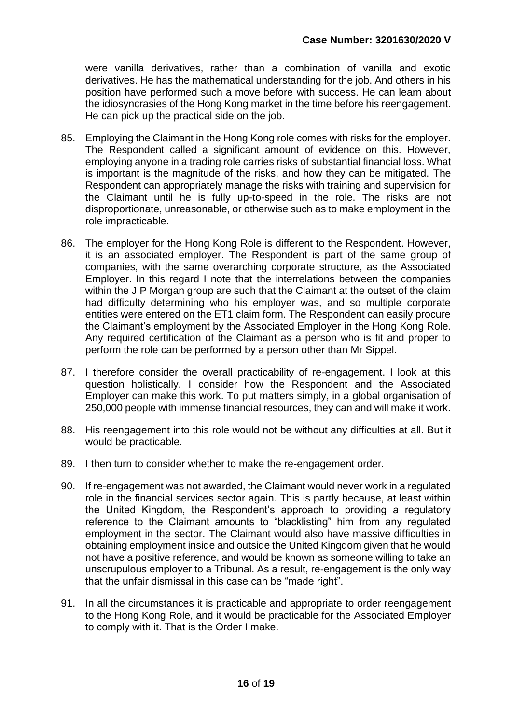were vanilla derivatives, rather than a combination of vanilla and exotic derivatives. He has the mathematical understanding for the job. And others in his position have performed such a move before with success. He can learn about the idiosyncrasies of the Hong Kong market in the time before his reengagement. He can pick up the practical side on the job.

- 85. Employing the Claimant in the Hong Kong role comes with risks for the employer. The Respondent called a significant amount of evidence on this. However, employing anyone in a trading role carries risks of substantial financial loss. What is important is the magnitude of the risks, and how they can be mitigated. The Respondent can appropriately manage the risks with training and supervision for the Claimant until he is fully up-to-speed in the role. The risks are not disproportionate, unreasonable, or otherwise such as to make employment in the role impracticable.
- 86. The employer for the Hong Kong Role is different to the Respondent. However, it is an associated employer. The Respondent is part of the same group of companies, with the same overarching corporate structure, as the Associated Employer. In this regard I note that the interrelations between the companies within the J P Morgan group are such that the Claimant at the outset of the claim had difficulty determining who his employer was, and so multiple corporate entities were entered on the ET1 claim form. The Respondent can easily procure the Claimant's employment by the Associated Employer in the Hong Kong Role. Any required certification of the Claimant as a person who is fit and proper to perform the role can be performed by a person other than Mr Sippel.
- 87. I therefore consider the overall practicability of re-engagement. I look at this question holistically. I consider how the Respondent and the Associated Employer can make this work. To put matters simply, in a global organisation of 250,000 people with immense financial resources, they can and will make it work.
- 88. His reengagement into this role would not be without any difficulties at all. But it would be practicable.
- 89. I then turn to consider whether to make the re-engagement order.
- 90. If re-engagement was not awarded, the Claimant would never work in a regulated role in the financial services sector again. This is partly because, at least within the United Kingdom, the Respondent's approach to providing a regulatory reference to the Claimant amounts to "blacklisting" him from any regulated employment in the sector. The Claimant would also have massive difficulties in obtaining employment inside and outside the United Kingdom given that he would not have a positive reference, and would be known as someone willing to take an unscrupulous employer to a Tribunal. As a result, re-engagement is the only way that the unfair dismissal in this case can be "made right".
- 91. In all the circumstances it is practicable and appropriate to order reengagement to the Hong Kong Role, and it would be practicable for the Associated Employer to comply with it. That is the Order I make.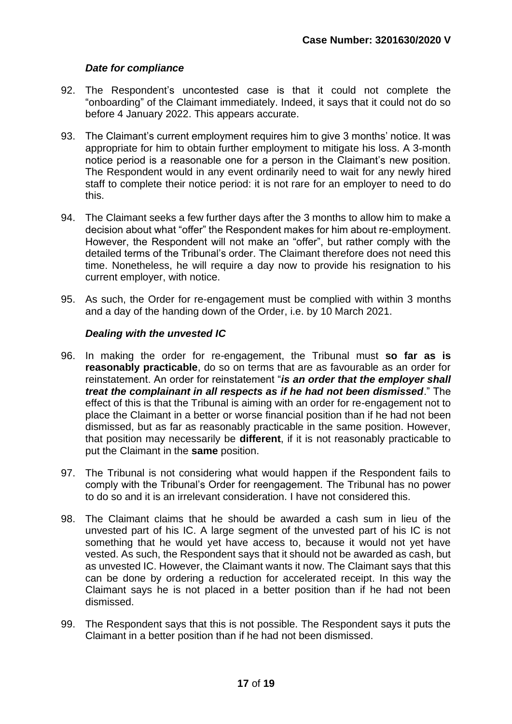# *Date for compliance*

- 92. The Respondent's uncontested case is that it could not complete the "onboarding" of the Claimant immediately. Indeed, it says that it could not do so before 4 January 2022. This appears accurate.
- 93. The Claimant's current employment requires him to give 3 months' notice. It was appropriate for him to obtain further employment to mitigate his loss. A 3-month notice period is a reasonable one for a person in the Claimant's new position. The Respondent would in any event ordinarily need to wait for any newly hired staff to complete their notice period: it is not rare for an employer to need to do this.
- 94. The Claimant seeks a few further days after the 3 months to allow him to make a decision about what "offer" the Respondent makes for him about re-employment. However, the Respondent will not make an "offer", but rather comply with the detailed terms of the Tribunal's order. The Claimant therefore does not need this time. Nonetheless, he will require a day now to provide his resignation to his current employer, with notice.
- 95. As such, the Order for re-engagement must be complied with within 3 months and a day of the handing down of the Order, i.e. by 10 March 2021.

# *Dealing with the unvested IC*

- 96. In making the order for re-engagement, the Tribunal must **so far as is reasonably practicable**, do so on terms that are as favourable as an order for reinstatement. An order for reinstatement "*is an order that the employer shall treat the complainant in all respects as if he had not been dismissed*." The effect of this is that the Tribunal is aiming with an order for re-engagement not to place the Claimant in a better or worse financial position than if he had not been dismissed, but as far as reasonably practicable in the same position. However, that position may necessarily be **different**, if it is not reasonably practicable to put the Claimant in the **same** position.
- 97. The Tribunal is not considering what would happen if the Respondent fails to comply with the Tribunal's Order for reengagement. The Tribunal has no power to do so and it is an irrelevant consideration. I have not considered this.
- 98. The Claimant claims that he should be awarded a cash sum in lieu of the unvested part of his IC. A large segment of the unvested part of his IC is not something that he would yet have access to, because it would not yet have vested. As such, the Respondent says that it should not be awarded as cash, but as unvested IC. However, the Claimant wants it now. The Claimant says that this can be done by ordering a reduction for accelerated receipt. In this way the Claimant says he is not placed in a better position than if he had not been dismissed.
- 99. The Respondent says that this is not possible. The Respondent says it puts the Claimant in a better position than if he had not been dismissed.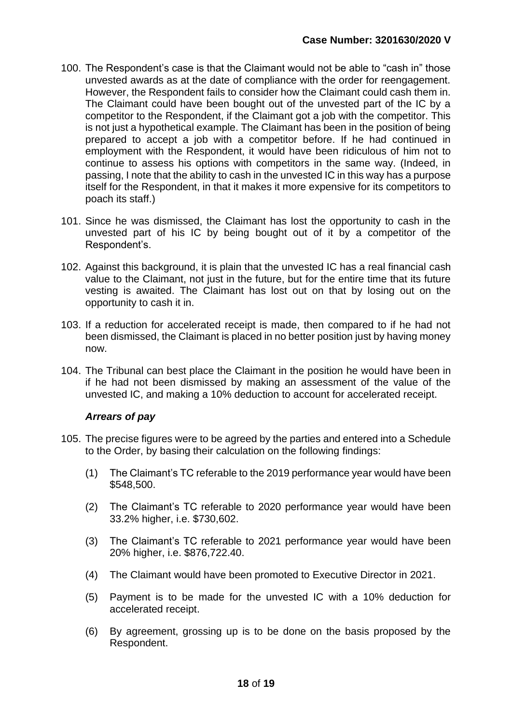- 100. The Respondent's case is that the Claimant would not be able to "cash in" those unvested awards as at the date of compliance with the order for reengagement. However, the Respondent fails to consider how the Claimant could cash them in. The Claimant could have been bought out of the unvested part of the IC by a competitor to the Respondent, if the Claimant got a job with the competitor. This is not just a hypothetical example. The Claimant has been in the position of being prepared to accept a job with a competitor before. If he had continued in employment with the Respondent, it would have been ridiculous of him not to continue to assess his options with competitors in the same way. (Indeed, in passing, I note that the ability to cash in the unvested IC in this way has a purpose itself for the Respondent, in that it makes it more expensive for its competitors to poach its staff.)
- 101. Since he was dismissed, the Claimant has lost the opportunity to cash in the unvested part of his IC by being bought out of it by a competitor of the Respondent's.
- 102. Against this background, it is plain that the unvested IC has a real financial cash value to the Claimant, not just in the future, but for the entire time that its future vesting is awaited. The Claimant has lost out on that by losing out on the opportunity to cash it in.
- 103. If a reduction for accelerated receipt is made, then compared to if he had not been dismissed, the Claimant is placed in no better position just by having money now.
- 104. The Tribunal can best place the Claimant in the position he would have been in if he had not been dismissed by making an assessment of the value of the unvested IC, and making a 10% deduction to account for accelerated receipt.

## *Arrears of pay*

- 105. The precise figures were to be agreed by the parties and entered into a Schedule to the Order, by basing their calculation on the following findings:
	- (1) The Claimant's TC referable to the 2019 performance year would have been \$548,500.
	- (2) The Claimant's TC referable to 2020 performance year would have been 33.2% higher, i.e. \$730,602.
	- (3) The Claimant's TC referable to 2021 performance year would have been 20% higher, i.e. \$876,722.40.
	- (4) The Claimant would have been promoted to Executive Director in 2021.
	- (5) Payment is to be made for the unvested IC with a 10% deduction for accelerated receipt.
	- (6) By agreement, grossing up is to be done on the basis proposed by the Respondent.